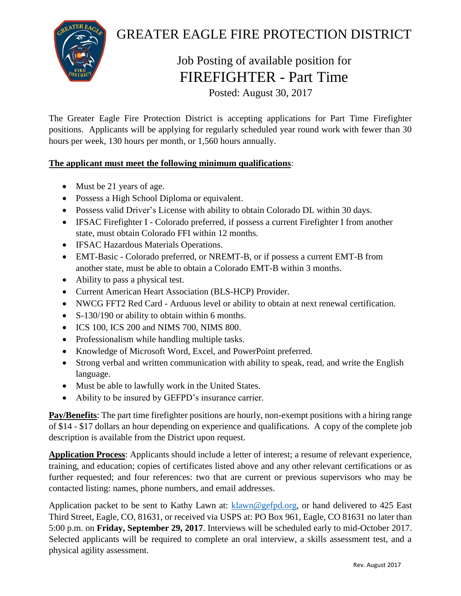

## GREATER EAGLE FIRE PROTECTION DISTRICT

## Job Posting of available position for FIREFIGHTER - Part Time

Posted: August 30, 2017

The Greater Eagle Fire Protection District is accepting applications for Part Time Firefighter positions. Applicants will be applying for regularly scheduled year round work with fewer than 30 hours per week, 130 hours per month, or 1,560 hours annually.

## **The applicant must meet the following minimum qualifications**:

- Must be 21 years of age.
- Possess a High School Diploma or equivalent.
- Possess valid Driver's License with ability to obtain Colorado DL within 30 days.
- IFSAC Firefighter I Colorado preferred, if possess a current Firefighter I from another state, must obtain Colorado FFI within 12 months.
- IFSAC Hazardous Materials Operations.
- EMT-Basic Colorado preferred, or NREMT-B, or if possess a current EMT-B from another state, must be able to obtain a Colorado EMT-B within 3 months.
- Ability to pass a physical test.
- Current American Heart Association (BLS-HCP) Provider.
- NWCG FFT2 Red Card Arduous level or ability to obtain at next renewal certification.
- S-130/190 or ability to obtain within 6 months.
- ICS 100, ICS 200 and NIMS 700, NIMS 800.
- Professionalism while handling multiple tasks.
- Knowledge of Microsoft Word, Excel, and PowerPoint preferred.
- Strong verbal and written communication with ability to speak, read, and write the English language.
- Must be able to lawfully work in the United States.
- Ability to be insured by GEFPD's insurance carrier.

**Pay/Benefits**: The part time firefighter positions are hourly, non-exempt positions with a hiring range of \$14 - \$17 dollars an hour depending on experience and qualifications. A copy of the complete job description is available from the District upon request.

**Application Process**: Applicants should include a letter of interest; a resume of relevant experience, training, and education; copies of certificates listed above and any other relevant certifications or as further requested; and four references: two that are current or previous supervisors who may be contacted listing: names, phone numbers, and email addresses.

Application packet to be sent to Kathy Lawn at: [klawn@gefpd.org,](mailto:klawn@gefpd.org) or hand delivered to 425 East Third Street, Eagle, CO, 81631, or received via USPS at: PO Box 961, Eagle, CO 81631 no later than 5:00 p.m. on **Friday, September 29, 2017**. Interviews will be scheduled early to mid-October 2017. Selected applicants will be required to complete an oral interview, a skills assessment test, and a physical agility assessment.